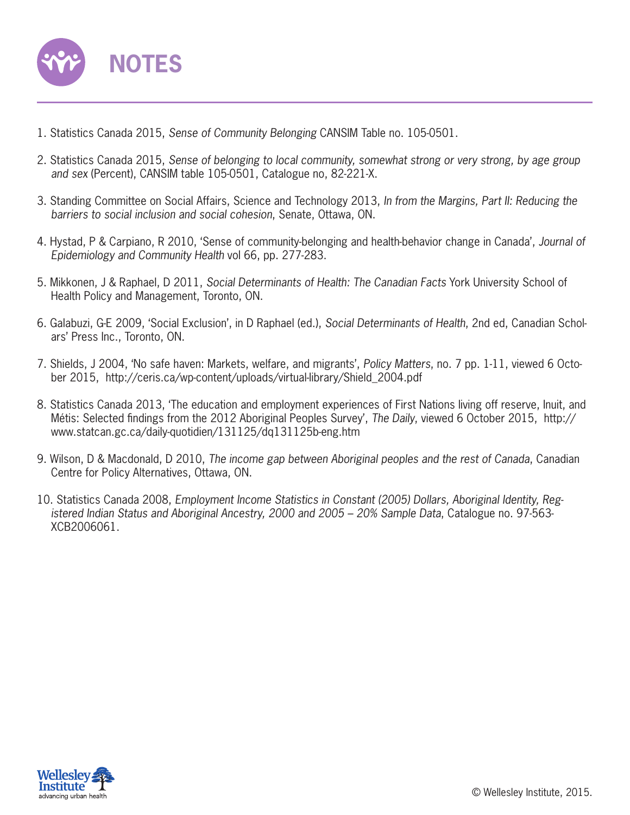

- 1. Statistics Canada 2015, *Sense of Community Belonging* CANSIM Table no. 105-0501.
- 2. Statistics Canada 2015, *Sense of belonging to local community, somewhat strong or very strong, by age group and sex* (Percent), CANSIM table 105-0501, Catalogue no, 82-221-X.
- 3. Standing Committee on Social Affairs, Science and Technology 2013, *In from the Margins, Part II: Reducing the barriers to social inclusion and social cohesion*, Senate, Ottawa, ON.
- 4. Hystad, P & Carpiano, R 2010, 'Sense of community-belonging and health-behavior change in Canada', *Journal of Epidemiology and Community Health* vol 66, pp. 277-283.
- 5. Mikkonen, J & Raphael, D 2011, *Social Determinants of Health: The Canadian Facts* York University School of Health Policy and Management, Toronto, ON.
- 6. Galabuzi, G-E 2009, 'Social Exclusion', in D Raphael (ed.), *Social Determinants of Health*, 2nd ed, Canadian Scholars' Press Inc., Toronto, ON.
- 7. Shields, J 2004, 'No safe haven: Markets, welfare, and migrants', *Policy Matters*, no. 7 pp. 1-11, viewed 6 October 2015, http://ceris.ca/wp-content/uploads/virtual-library/Shield\_2004.pdf
- 8. Statistics Canada 2013, 'The education and employment experiences of First Nations living off reserve, Inuit, and Métis: Selected findings from the 2012 Aboriginal Peoples Survey', *The Daily*, viewed 6 October 2015, http:// www.statcan.gc.ca/daily-quotidien/131125/dq131125b-eng.htm
- 9. Wilson, D & Macdonald, D 2010, *The income gap between Aboriginal peoples and the rest of Canada*, Canadian Centre for Policy Alternatives, Ottawa, ON.
- 10. Statistics Canada 2008, *Employment Income Statistics in Constant (2005) Dollars, Aboriginal Identity, Registered Indian Status and Aboriginal Ancestry, 2000 and 2005 – 20% Sample Data*, Catalogue no. 97-563- XCB2006061.

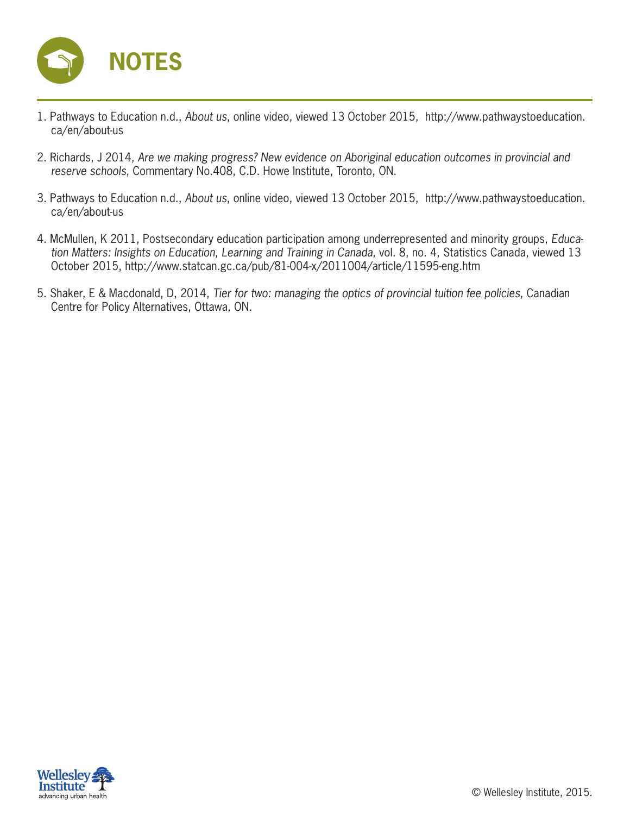

- 1. Pathways to Education n.d., *About us*, online video, viewed 13 October 2015, http://www.pathwaystoeducation. ca/en/about-us
- 2. Richards, J 2014, *Are we making progress? New evidence on Aboriginal education outcomes in provincial and reserve schools*, Commentary No.408, C.D. Howe Institute, Toronto, ON.
- 3. Pathways to Education n.d., *About us*, online video, viewed 13 October 2015, http://www.pathwaystoeducation. ca/en/about-us
- 4. McMullen, K 2011, Postsecondary education participation among underrepresented and minority groups, *Education Matters: Insights on Education, Learning and Training in Canada*, vol. 8, no. 4, Statistics Canada, viewed 13 October 2015, http://www.statcan.gc.ca/pub/81-004-x/2011004/article/11595-eng.htm
- 5. Shaker, E & Macdonald, D, 2014, *Tier for two: managing the optics of provincial tuition fee policies*, Canadian Centre for Policy Alternatives, Ottawa, ON.

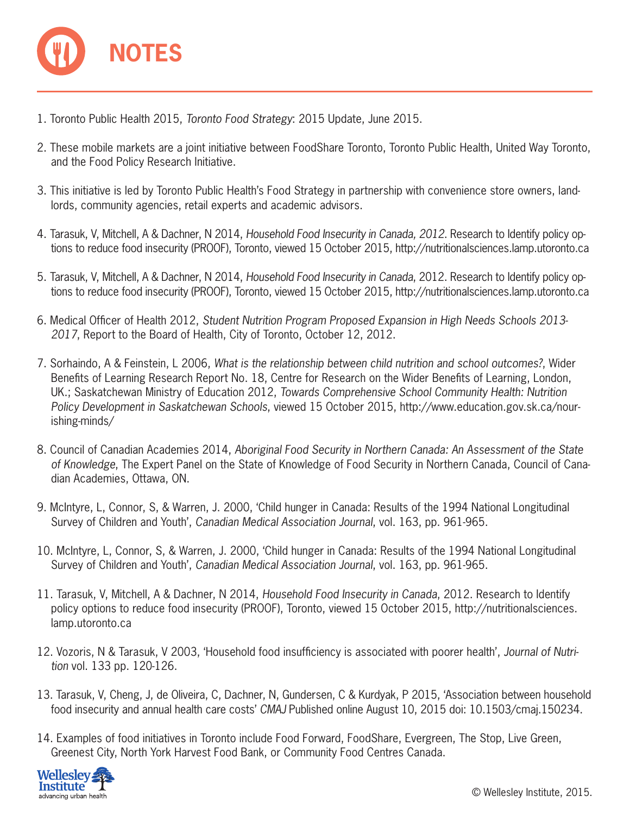

- 1. Toronto Public Health 2015, *Toronto Food Strategy*: 2015 Update, June 2015.
- 2. These mobile markets are a joint initiative between FoodShare Toronto, Toronto Public Health, United Way Toronto, and the Food Policy Research Initiative.
- 3. This initiative is led by Toronto Public Health's Food Strategy in partnership with convenience store owners, landlords, community agencies, retail experts and academic advisors.
- 4. Tarasuk, V, Mitchell, A & Dachner, N 2014, *Household Food Insecurity in Canada, 2012*. Research to Identify policy options to reduce food insecurity (PROOF), Toronto, viewed 15 October 2015, http://nutritionalsciences.lamp.utoronto.ca
- 5. Tarasuk, V, Mitchell, A & Dachner, N 2014, *Household Food Insecurity in Canada*, 2012. Research to Identify policy options to reduce food insecurity (PROOF), Toronto, viewed 15 October 2015, http://nutritionalsciences.lamp.utoronto.ca
- 6. Medical Officer of Health 2012, *Student Nutrition Program Proposed Expansion in High Needs Schools 2013- 2017*, Report to the Board of Health, City of Toronto, October 12, 2012.
- 7. Sorhaindo, A & Feinstein, L 2006, *What is the relationship between child nutrition and school outcomes?*, Wider Benefits of Learning Research Report No. 18, Centre for Research on the Wider Benefits of Learning, London, UK.; Saskatchewan Ministry of Education 2012, *Towards Comprehensive School Community Health: Nutrition Policy Development in Saskatchewan Schools*, viewed 15 October 2015, http://www.education.gov.sk.ca/nourishing-minds/
- 8. Council of Canadian Academies 2014, *Aboriginal Food Security in Northern Canada: An Assessment of the State of Knowledge*, The Expert Panel on the State of Knowledge of Food Security in Northern Canada, Council of Canadian Academies, Ottawa, ON.
- 9. McIntyre, L, Connor, S, & Warren, J. 2000, 'Child hunger in Canada: Results of the 1994 National Longitudinal Survey of Children and Youth', *Canadian Medical Association Journal*, vol. 163, pp. 961-965.
- 10. McIntyre, L, Connor, S, & Warren, J. 2000, 'Child hunger in Canada: Results of the 1994 National Longitudinal Survey of Children and Youth', *Canadian Medical Association Journal*, vol. 163, pp. 961-965.
- 11. Tarasuk, V, Mitchell, A & Dachner, N 2014, *Household Food Insecurity in Canada*, 2012. Research to Identify policy options to reduce food insecurity (PROOF), Toronto, viewed 15 October 2015, http://nutritionalsciences. lamp.utoronto.ca
- 12. Vozoris, N & Tarasuk, V 2003, 'Household food insufficiency is associated with poorer health', *Journal of Nutrition* vol. 133 pp. 120-126.
- 13. Tarasuk, V, Cheng, J, de Oliveira, C, Dachner, N, Gundersen, C & Kurdyak, P 2015, 'Association between household food insecurity and annual health care costs' *CMAJ* Published online August 10, 2015 doi: 10.1503/cmaj.150234.
- 14. Examples of food initiatives in Toronto include Food Forward, FoodShare, Evergreen, The Stop, Live Green, Greenest City, North York Harvest Food Bank, or Community Food Centres Canada.

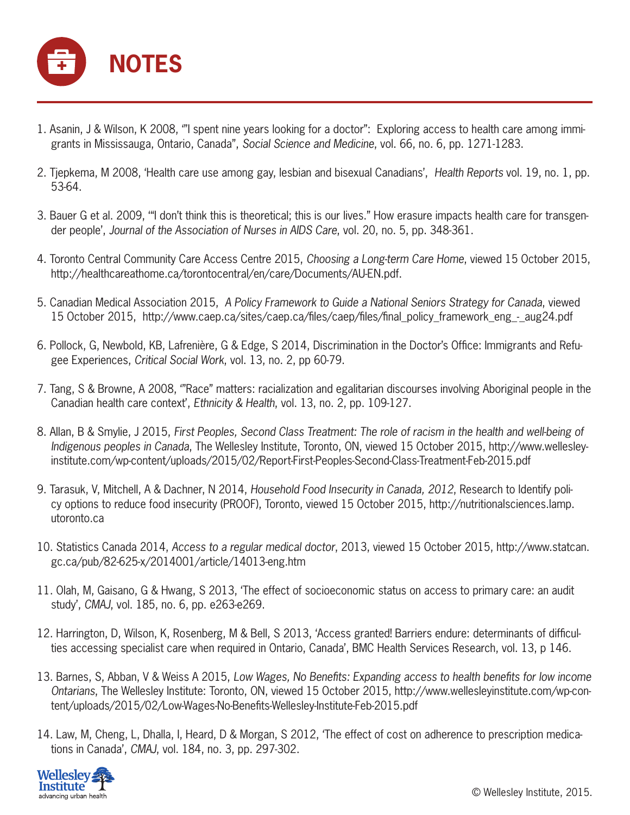

- 1. Asanin, J & Wilson, K 2008, '"I spent nine years looking for a doctor": Exploring access to health care among immigrants in Mississauga, Ontario, Canada", *Social Science and Medicine*, vol. 66, no. 6, pp. 1271-1283.
- 2. Tjepkema, M 2008, 'Health care use among gay, lesbian and bisexual Canadians', *Health Reports* vol. 19, no. 1, pp. 53-64.
- 3. Bauer G et al. 2009, '"I don't think this is theoretical; this is our lives." How erasure impacts health care for transgender people', *Journal of the Association of Nurses in AIDS Care*, vol. 20, no. 5, pp. 348-361.
- 4. Toronto Central Community Care Access Centre 2015, *Choosing a Long-term Care Home*, viewed 15 October 2015, http://healthcareathome.ca/torontocentral/en/care/Documents/AU-EN.pdf.
- 5. Canadian Medical Association 2015, *A Policy Framework to Guide a National Seniors Strategy for Canada*, viewed 15 October 2015, http://www.caep.ca/sites/caep.ca/files/caep/files/final\_policy\_framework\_eng\_-\_aug24.pdf
- 6. Pollock, G, Newbold, KB, Lafrenière, G & Edge, S 2014, Discrimination in the Doctor's Office: Immigrants and Refugee Experiences, *Critical Social Work*, vol. 13, no. 2, pp 60-79.
- 7. Tang, S & Browne, A 2008, '"Race" matters: racialization and egalitarian discourses involving Aboriginal people in the Canadian health care context', *Ethnicity & Health*, vol. 13, no. 2, pp. 109-127.
- 8. Allan, B & Smylie, J 2015, *First Peoples, Second Class Treatment: The role of racism in the health and well-being of Indigenous peoples in Canada*, The Wellesley Institute, Toronto, ON, viewed 15 October 2015, http://www.wellesleyinstitute.com/wp-content/uploads/2015/02/Report-First-Peoples-Second-Class-Treatment-Feb-2015.pdf
- 9. Tarasuk, V, Mitchell, A & Dachner, N 2014, *Household Food Insecurity in Canada, 2012*, Research to Identify policy options to reduce food insecurity (PROOF), Toronto, viewed 15 October 2015, http://nutritionalsciences.lamp. utoronto.ca
- 10. Statistics Canada 2014, *Access to a regular medical doctor*, 2013, viewed 15 October 2015, http://www.statcan. gc.ca/pub/82-625-x/2014001/article/14013-eng.htm
- 11. Olah, M, Gaisano, G & Hwang, S 2013, 'The effect of socioeconomic status on access to primary care: an audit study', *CMAJ*, vol. 185, no. 6, pp. e263-e269.
- 12. Harrington, D, Wilson, K, Rosenberg, M & Bell, S 2013, 'Access granted! Barriers endure: determinants of difficulties accessing specialist care when required in Ontario, Canada', BMC Health Services Research, vol. 13, p 146.
- 13. Barnes, S, Abban, V & Weiss A 2015, Low Wages, No Benefits: Expanding access to health benefits for low income *Ontarians*, The Wellesley Institute: Toronto, ON, viewed 15 October 2015, http://www.wellesleyinstitute.com/wp-content/uploads/2015/02/Low-Wages-No-Benefits-Wellesley-Institute-Feb-2015.pdf
- 14. Law, M, Cheng, L, Dhalla, I, Heard, D & Morgan, S 2012, 'The effect of cost on adherence to prescription medications in Canada', *CMAJ*, vol. 184, no. 3, pp. 297-302.

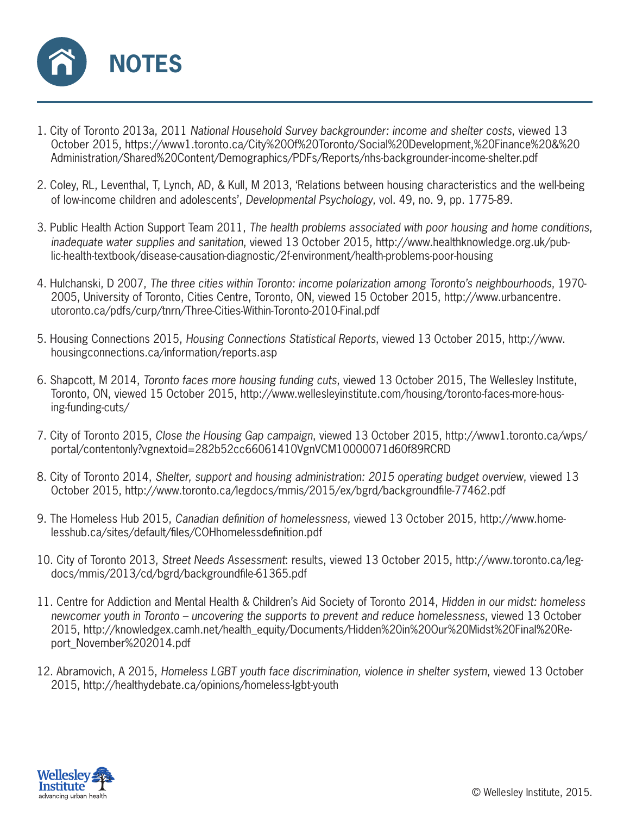

- 1. City of Toronto 2013a, 2011 *National Household Survey backgrounder: income and shelter costs*, viewed 13 October 2015, https://www1.toronto.ca/City%20Of%20Toronto/Social%20Development,%20Finance%20&%20 Administration/Shared%20Content/Demographics/PDFs/Reports/nhs-backgrounder-income-shelter.pdf
- 2. Coley, RL, Leventhal, T, Lynch, AD, & Kull, M 2013, 'Relations between housing characteristics and the well-being of low-income children and adolescents', *Developmental Psychology*, vol. 49, no. 9, pp. 1775-89.
- 3. Public Health Action Support Team 2011, *The health problems associated with poor housing and home conditions, inadequate water supplies and sanitation*, viewed 13 October 2015, http://www.healthknowledge.org.uk/public-health-textbook/disease-causation-diagnostic/2f-environment/health-problems-poor-housing
- 4. Hulchanski, D 2007, *The three cities within Toronto: income polarization among Toronto's neighbourhoods*, 1970- 2005, University of Toronto, Cities Centre, Toronto, ON, viewed 15 October 2015, http://www.urbancentre. utoronto.ca/pdfs/curp/tnrn/Three-Cities-Within-Toronto-2010-Final.pdf
- 5. Housing Connections 2015, *Housing Connections Statistical Reports*, viewed 13 October 2015, http://www. housingconnections.ca/information/reports.asp
- 6. Shapcott, M 2014, *Toronto faces more housing funding cuts*, viewed 13 October 2015, The Wellesley Institute, Toronto, ON, viewed 15 October 2015, http://www.wellesleyinstitute.com/housing/toronto-faces-more-housing-funding-cuts/
- 7. City of Toronto 2015, *Close the Housing Gap campaign*, viewed 13 October 2015, http://www1.toronto.ca/wps/ portal/contentonly?vgnextoid=282b52cc66061410VgnVCM10000071d60f89RCRD
- 8. City of Toronto 2014, *Shelter, support and housing administration: 2015 operating budget overview*, viewed 13 October 2015, http://www.toronto.ca/legdocs/mmis/2015/ex/bgrd/backgroundfile-77462.pdf
- 9. The Homeless Hub 2015, Canadian definition of homelessness, viewed 13 October 2015, http://www.homelesshub.ca/sites/default/files/COHhomelessdefinition.pdf
- 10. City of Toronto 2013, *Street Needs Assessment*: results, viewed 13 October 2015, http://www.toronto.ca/legdocs/mmis/2013/cd/bgrd/backgroundfile-61365.pdf
- 11. Centre for Addiction and Mental Health & Children's Aid Society of Toronto 2014, *Hidden in our midst: homeless newcomer youth in Toronto – uncovering the supports to prevent and reduce homelessness*, viewed 13 October 2015, http://knowledgex.camh.net/health\_equity/Documents/Hidden%20in%20Our%20Midst%20Final%20Report\_November%202014.pdf
- 12. Abramovich, A 2015, *Homeless LGBT youth face discrimination, violence in shelter system*, viewed 13 October 2015, http://healthydebate.ca/opinions/homeless-lgbt-youth

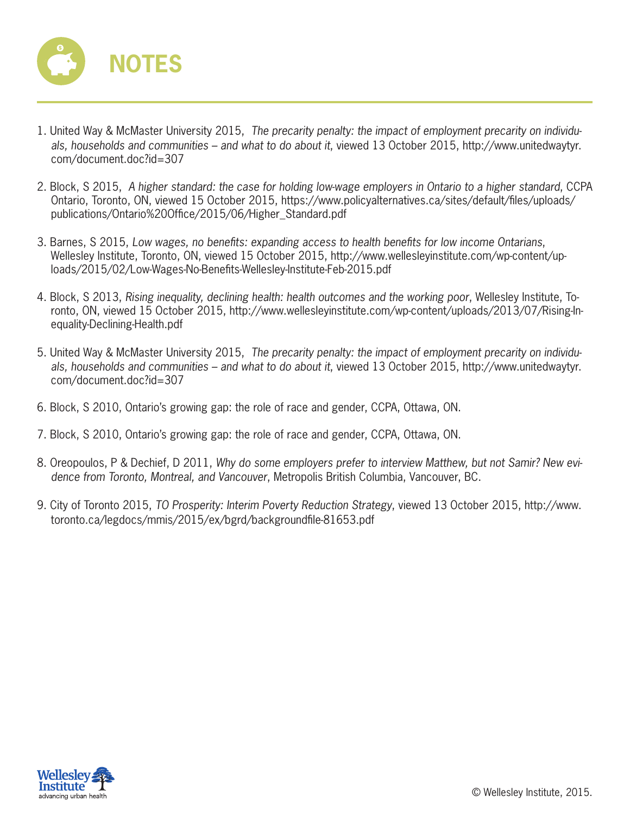

- 1. United Way & McMaster University 2015, *The precarity penalty: the impact of employment precarity on individuals, households and communities – and what to do about it*, viewed 13 October 2015, http://www.unitedwaytyr. com/document.doc?id=307
- 2. Block, S 2015, *A higher standard: the case for holding low-wage employers in Ontario to a higher standard*, CCPA Ontario, Toronto, ON, viewed 15 October 2015, https://www.policyalternatives.ca/sites/default/files/uploads/ publications/Ontario%20Office/2015/06/Higher\_Standard.pdf
- 3. Barnes, S 2015, Low wages, no benefits: expanding access to health benefits for low income Ontarians, Wellesley Institute, Toronto, ON, viewed 15 October 2015, http://www.wellesleyinstitute.com/wp-content/uploads/2015/02/Low-Wages-No-Benefits-Wellesley-Institute-Feb-2015.pdf
- 4. Block, S 2013, *Rising inequality, declining health: health outcomes and the working poor*, Wellesley Institute, Toronto, ON, viewed 15 October 2015, http://www.wellesleyinstitute.com/wp-content/uploads/2013/07/Rising-Inequality-Declining-Health.pdf
- 5. United Way & McMaster University 2015, *The precarity penalty: the impact of employment precarity on individuals, households and communities – and what to do about it*, viewed 13 October 2015, http://www.unitedwaytyr. com/document.doc?id=307
- 6. Block, S 2010, Ontario's growing gap: the role of race and gender, CCPA, Ottawa, ON.
- 7. Block, S 2010, Ontario's growing gap: the role of race and gender, CCPA, Ottawa, ON.
- 8. Oreopoulos, P & Dechief, D 2011, *Why do some employers prefer to interview Matthew, but not Samir? New evidence from Toronto, Montreal, and Vancouver*, Metropolis British Columbia, Vancouver, BC.
- 9. City of Toronto 2015, *TO Prosperity: Interim Poverty Reduction Strategy*, viewed 13 October 2015, http://www. toronto.ca/legdocs/mmis/2015/ex/bgrd/backgroundfile-81653.pdf